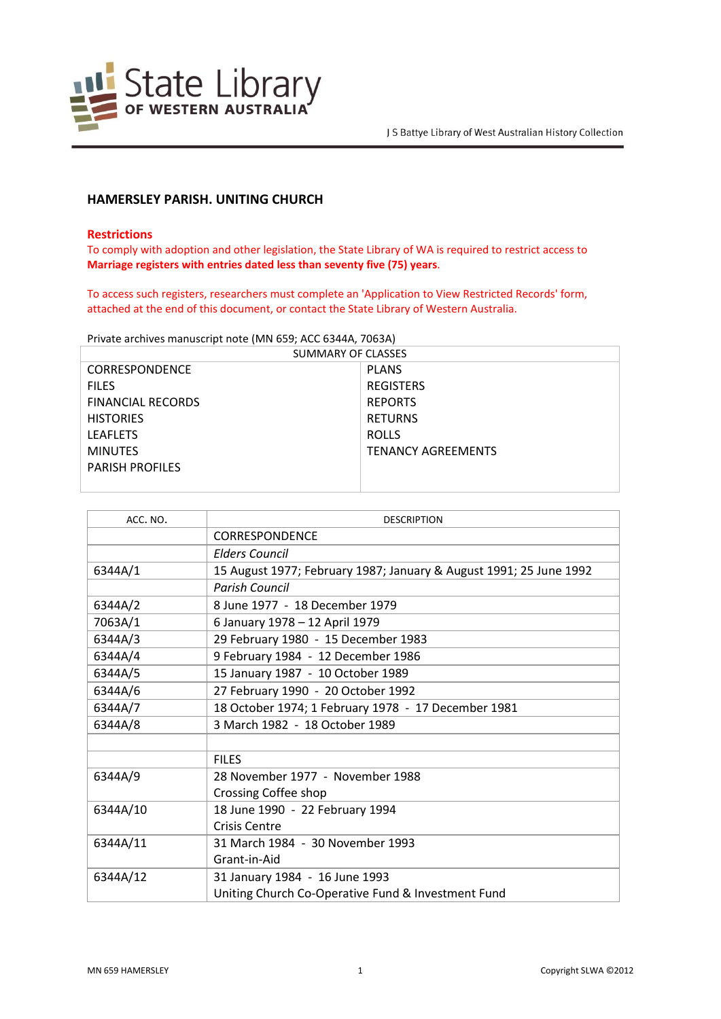

# **HAMERSLEY PARISH. UNITING CHURCH**

### **Restrictions**

To comply with adoption and other legislation, the State Library of WA is required to restrict access to **Marriage registers with entries dated less than seventy five (75) years**.

To access such registers, researchers must complete an 'Application to View Restricted Records' form, attached at the end of this document, or contact the State Library of Western Australia.

Private archives manuscript note (MN 659; ACC 6344A, 7063A)

| SUMMARY OF CLASSES       |                           |  |
|--------------------------|---------------------------|--|
| <b>CORRESPONDENCE</b>    | <b>PLANS</b>              |  |
| <b>FILES</b>             | <b>REGISTERS</b>          |  |
| <b>FINANCIAL RECORDS</b> | <b>REPORTS</b>            |  |
| <b>HISTORIES</b>         | <b>RETURNS</b>            |  |
| <b>LEAFLETS</b>          | <b>ROLLS</b>              |  |
| <b>MINUTES</b>           | <b>TENANCY AGREEMENTS</b> |  |
| <b>PARISH PROFILES</b>   |                           |  |
|                          |                           |  |

| ACC. NO. | <b>DESCRIPTION</b>                                                 |
|----------|--------------------------------------------------------------------|
|          | <b>CORRESPONDENCE</b>                                              |
|          | <b>Elders Council</b>                                              |
| 6344A/1  | 15 August 1977; February 1987; January & August 1991; 25 June 1992 |
|          | <b>Parish Council</b>                                              |
| 6344A/2  | 8 June 1977 - 18 December 1979                                     |
| 7063A/1  | 6 January 1978 - 12 April 1979                                     |
| 6344A/3  | 29 February 1980 - 15 December 1983                                |
| 6344A/4  | 9 February 1984 - 12 December 1986                                 |
| 6344A/5  | 15 January 1987 - 10 October 1989                                  |
| 6344A/6  | 27 February 1990 - 20 October 1992                                 |
| 6344A/7  | 18 October 1974; 1 February 1978 - 17 December 1981                |
| 6344A/8  | 3 March 1982 - 18 October 1989                                     |
|          |                                                                    |
|          | <b>FILES</b>                                                       |
| 6344A/9  | 28 November 1977 - November 1988                                   |
|          | Crossing Coffee shop                                               |
| 6344A/10 | 18 June 1990 - 22 February 1994                                    |
|          | <b>Crisis Centre</b>                                               |
| 6344A/11 | 31 March 1984 - 30 November 1993                                   |
|          | Grant-in-Aid                                                       |
| 6344A/12 | 31 January 1984 - 16 June 1993                                     |
|          | Uniting Church Co-Operative Fund & Investment Fund                 |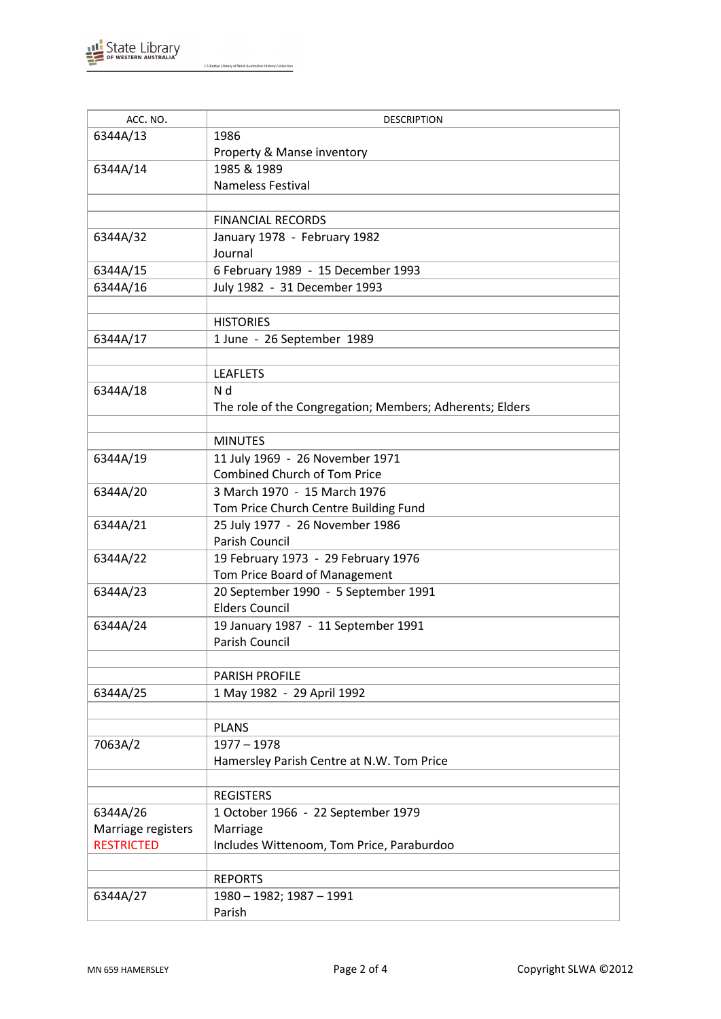

 $\overline{1}$ 

J S Battye Library of West Australian History Collection

| ACC. NO.           | <b>DESCRIPTION</b>                                       |
|--------------------|----------------------------------------------------------|
| 6344A/13           | 1986                                                     |
|                    | Property & Manse inventory                               |
| 6344A/14           | 1985 & 1989                                              |
|                    | <b>Nameless Festival</b>                                 |
|                    |                                                          |
|                    | <b>FINANCIAL RECORDS</b>                                 |
| 6344A/32           | January 1978 - February 1982                             |
|                    | Journal                                                  |
| 6344A/15           | 6 February 1989 - 15 December 1993                       |
| 6344A/16           | July 1982 - 31 December 1993                             |
|                    |                                                          |
|                    |                                                          |
|                    | <b>HISTORIES</b>                                         |
| 6344A/17           | 1 June - 26 September 1989                               |
|                    |                                                          |
|                    | <b>LEAFLETS</b>                                          |
| 6344A/18           | N d                                                      |
|                    | The role of the Congregation; Members; Adherents; Elders |
|                    |                                                          |
|                    | <b>MINUTES</b>                                           |
| 6344A/19           | 11 July 1969 - 26 November 1971                          |
|                    | <b>Combined Church of Tom Price</b>                      |
| 6344A/20           | 3 March 1970 - 15 March 1976                             |
|                    | Tom Price Church Centre Building Fund                    |
| 6344A/21           | 25 July 1977 - 26 November 1986                          |
|                    | Parish Council                                           |
| 6344A/22           | 19 February 1973 - 29 February 1976                      |
|                    | Tom Price Board of Management                            |
| 6344A/23           | 20 September 1990 - 5 September 1991                     |
|                    | <b>Elders Council</b>                                    |
| 6344A/24           | 19 January 1987 - 11 September 1991                      |
|                    | Parish Council                                           |
|                    |                                                          |
|                    | <b>PARISH PROFILE</b>                                    |
|                    |                                                          |
| 6344A/25           | 1 May 1982 - 29 April 1992                               |
|                    |                                                          |
|                    | <b>PLANS</b>                                             |
| 7063A/2            | $1977 - 1978$                                            |
|                    | Hamersley Parish Centre at N.W. Tom Price                |
|                    |                                                          |
|                    | <b>REGISTERS</b>                                         |
| 6344A/26           | 1 October 1966 - 22 September 1979                       |
| Marriage registers | Marriage                                                 |
| <b>RESTRICTED</b>  | Includes Wittenoom, Tom Price, Paraburdoo                |
|                    |                                                          |
|                    | <b>REPORTS</b>                                           |
| 6344A/27           | 1980 - 1982; 1987 - 1991                                 |
|                    | Parish                                                   |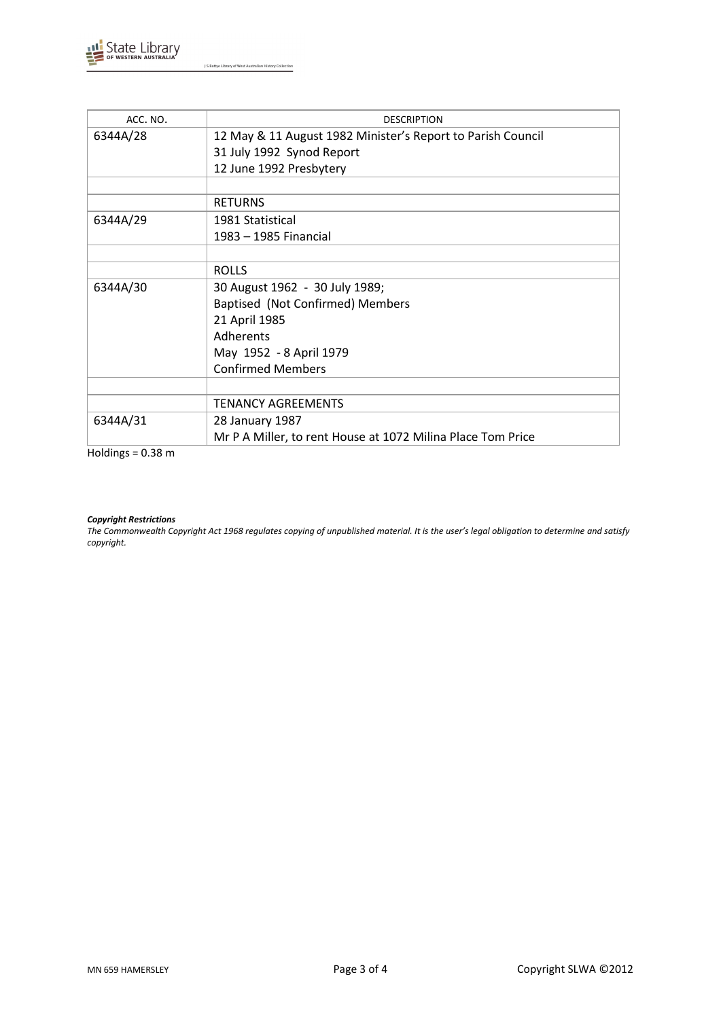

J S Battye Library of West Australian History Collection

| ACC. NO. | <b>DESCRIPTION</b>                                          |
|----------|-------------------------------------------------------------|
| 6344A/28 | 12 May & 11 August 1982 Minister's Report to Parish Council |
|          | 31 July 1992 Synod Report                                   |
|          | 12 June 1992 Presbytery                                     |
|          |                                                             |
|          | <b>RETURNS</b>                                              |
| 6344A/29 | 1981 Statistical                                            |
|          | 1983 - 1985 Financial                                       |
|          |                                                             |
|          | <b>ROLLS</b>                                                |
| 6344A/30 | 30 August 1962 - 30 July 1989;                              |
|          | Baptised (Not Confirmed) Members                            |
|          | 21 April 1985                                               |
|          | Adherents                                                   |
|          | May 1952 - 8 April 1979                                     |
|          | <b>Confirmed Members</b>                                    |
|          |                                                             |
|          | <b>TENANCY AGREEMENTS</b>                                   |
| 6344A/31 | 28 January 1987                                             |
|          | Mr P A Miller, to rent House at 1072 Milina Place Tom Price |

 $Holdings = 0.38 m$ 

#### *Copyright Restrictions*

*The Commonwealth Copyright Act 1968 regulates copying of unpublished material. It is the user's legal obligation to determine and satisfy copyright.*